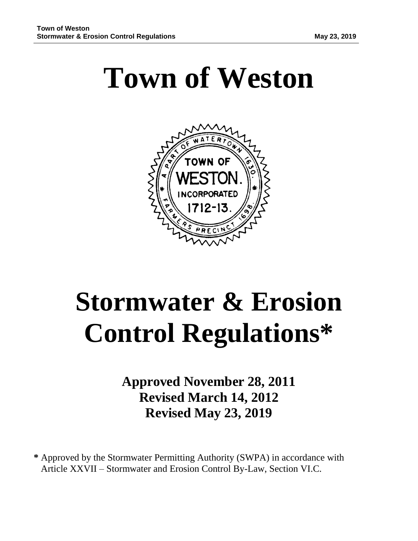# **Town of Weston**



# **Stormwater & Erosion Control Regulations\***

**Approved November 28, 2011 Revised March 14, 2012 Revised May 23, 2019**

**\*** Approved by the Stormwater Permitting Authority (SWPA) in accordance with Article XXVII – Stormwater and Erosion Control By-Law, Section VI.C.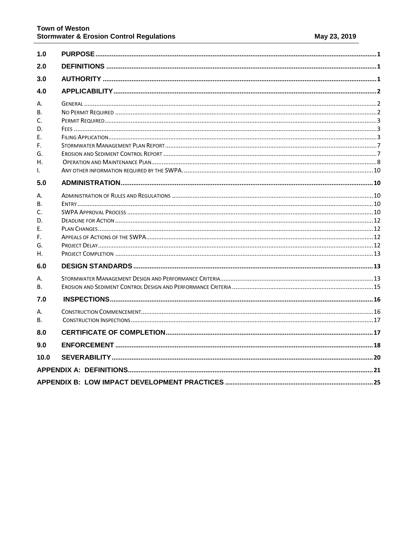| 1.0            |  |
|----------------|--|
| 2.0            |  |
| 3.0            |  |
| 4.0            |  |
|                |  |
| А.<br>B.       |  |
| C.             |  |
| D.             |  |
| Е.             |  |
| F.             |  |
| G.             |  |
| Н.             |  |
| I.             |  |
| 5.0            |  |
| А.             |  |
| В.             |  |
| C.             |  |
| D.             |  |
| Е.             |  |
| F.             |  |
| G.             |  |
| Н.             |  |
| 6.0            |  |
| А.             |  |
| <b>B.</b>      |  |
| 7.0            |  |
| А.             |  |
| B <sub>1</sub> |  |
| 8.0            |  |
| 9.0            |  |
| 10.0           |  |
|                |  |
|                |  |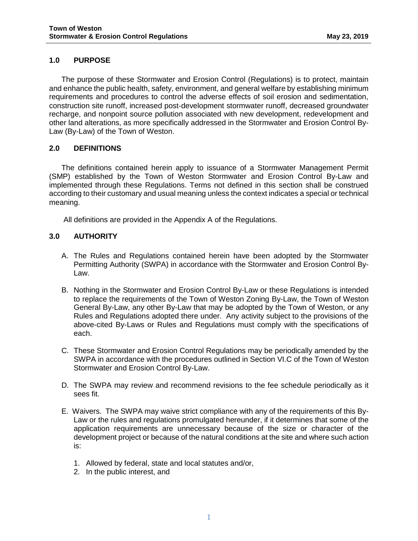# <span id="page-2-0"></span>**1.0 PURPOSE**

The purpose of these Stormwater and Erosion Control (Regulations) is to protect, maintain and enhance the public health, safety, environment, and general welfare by establishing minimum requirements and procedures to control the adverse effects of soil erosion and sedimentation, construction site runoff, increased post-development stormwater runoff, decreased groundwater recharge, and nonpoint source pollution associated with new development, redevelopment and other land alterations, as more specifically addressed in the Stormwater and Erosion Control By-Law (By-Law) of the Town of Weston.

## <span id="page-2-1"></span>**2.0 DEFINITIONS**

The definitions contained herein apply to issuance of a Stormwater Management Permit (SMP) established by the Town of Weston Stormwater and Erosion Control By-Law and implemented through these Regulations. Terms not defined in this section shall be construed according to their customary and usual meaning unless the context indicates a special or technical meaning.

All definitions are provided in the Appendix A of the Regulations.

## <span id="page-2-2"></span>**3.0 AUTHORITY**

- A. The Rules and Regulations contained herein have been adopted by the Stormwater Permitting Authority (SWPA) in accordance with the Stormwater and Erosion Control By-Law.
- B. Nothing in the Stormwater and Erosion Control By-Law or these Regulations is intended to replace the requirements of the Town of Weston Zoning By-Law, the Town of Weston General By-Law, any other By-Law that may be adopted by the Town of Weston, or any Rules and Regulations adopted there under. Any activity subject to the provisions of the above-cited By-Laws or Rules and Regulations must comply with the specifications of each.
- C. These Stormwater and Erosion Control Regulations may be periodically amended by the SWPA in accordance with the procedures outlined in Section VI.C of the Town of Weston Stormwater and Erosion Control By-Law.
- D. The SWPA may review and recommend revisions to the fee schedule periodically as it sees fit.
- E. Waivers. The SWPA may waive strict compliance with any of the requirements of this By-Law or the rules and regulations promulgated hereunder, if it determines that some of the application requirements are unnecessary because of the size or character of the development project or because of the natural conditions at the site and where such action is:
	- 1. Allowed by federal, state and local statutes and/or,
	- 2. In the public interest, and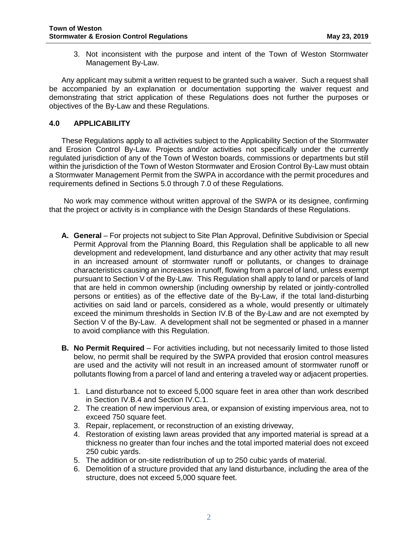3. Not inconsistent with the purpose and intent of the Town of Weston Stormwater Management By-Law.

Any applicant may submit a written request to be granted such a waiver. Such a request shall be accompanied by an explanation or documentation supporting the waiver request and demonstrating that strict application of these Regulations does not further the purposes or objectives of the By-Law and these Regulations.

## <span id="page-3-0"></span>**4.0 APPLICABILITY**

These Regulations apply to all activities subject to the Applicability Section of the Stormwater and Erosion Control By-Law. Projects and/or activities not specifically under the currently regulated jurisdiction of any of the Town of Weston boards, commissions or departments but still within the jurisdiction of the Town of Weston Stormwater and Erosion Control By-Law must obtain a Stormwater Management Permit from the SWPA in accordance with the permit procedures and requirements defined in Sections 5.0 through 7.0 of these Regulations.

 No work may commence without written approval of the SWPA or its designee, confirming that the project or activity is in compliance with the Design Standards of these Regulations.

- <span id="page-3-1"></span>**A. General** – For projects not subject to Site Plan Approval, Definitive Subdivision or Special Permit Approval from the Planning Board, this Regulation shall be applicable to all new development and redevelopment, land disturbance and any other activity that may result in an increased amount of stormwater runoff or pollutants, or changes to drainage characteristics causing an increases in runoff, flowing from a parcel of land, unless exempt pursuant to Section V of the By-Law. This Regulation shall apply to land or parcels of land that are held in common ownership (including ownership by related or jointly-controlled persons or entities) as of the effective date of the By-Law, if the total land-disturbing activities on said land or parcels, considered as a whole, would presently or ultimately exceed the minimum thresholds in Section IV.B of the By-Law and are not exempted by Section V of the By-Law. A development shall not be segmented or phased in a manner to avoid compliance with this Regulation.
- <span id="page-3-2"></span>**B. No Permit Required** – For activities including, but not necessarily limited to those listed below, no permit shall be required by the SWPA provided that erosion control measures are used and the activity will not result in an increased amount of stormwater runoff or pollutants flowing from a parcel of land and entering a traveled way or adjacent properties.
	- 1. Land disturbance not to exceed 5,000 square feet in area other than work described in Section IV.B.4 and Section IV.C.1.
	- 2. The creation of new impervious area, or expansion of existing impervious area, not to exceed 750 square feet.
	- 3. Repair, replacement, or reconstruction of an existing driveway,
	- 4. Restoration of existing lawn areas provided that any imported material is spread at a thickness no greater than four inches and the total imported material does not exceed 250 cubic yards.
	- 5. The addition or on-site redistribution of up to 250 cubic yards of material.
	- 6. Demolition of a structure provided that any land disturbance, including the area of the structure, does not exceed 5,000 square feet.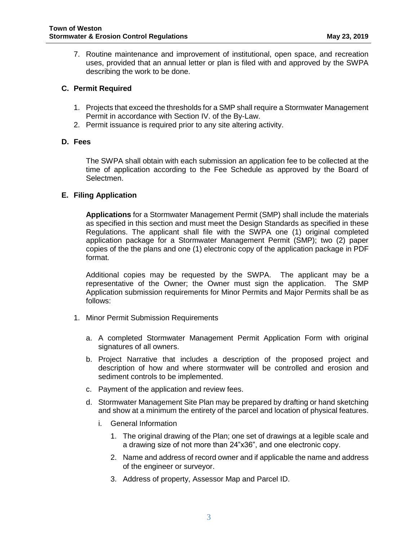7. Routine maintenance and improvement of institutional, open space, and recreation uses, provided that an annual letter or plan is filed with and approved by the SWPA describing the work to be done.

## <span id="page-4-0"></span>**C. Permit Required**

- 1. Projects that exceed the thresholds for a SMP shall require a Stormwater Management Permit in accordance with Section IV. of the By-Law.
- 2. Permit issuance is required prior to any site altering activity.

## <span id="page-4-1"></span>**D. Fees**

The SWPA shall obtain with each submission an application fee to be collected at the time of application according to the Fee Schedule as approved by the Board of Selectmen.

## <span id="page-4-2"></span>**E. Filing Application**

**Applications** for a Stormwater Management Permit (SMP) shall include the materials as specified in this section and must meet the Design Standards as specified in these Regulations. The applicant shall file with the SWPA one (1) original completed application package for a Stormwater Management Permit (SMP); two (2) paper copies of the the plans and one (1) electronic copy of the application package in PDF format.

Additional copies may be requested by the SWPA. The applicant may be a representative of the Owner; the Owner must sign the application. The SMP Application submission requirements for Minor Permits and Major Permits shall be as follows:

- 1. Minor Permit Submission Requirements
	- a. A completed Stormwater Management Permit Application Form with original signatures of all owners.
	- b. Project Narrative that includes a description of the proposed project and description of how and where stormwater will be controlled and erosion and sediment controls to be implemented.
	- c. Payment of the application and review fees.
	- d. Stormwater Management Site Plan may be prepared by drafting or hand sketching and show at a minimum the entirety of the parcel and location of physical features.
		- i. General Information
			- 1. The original drawing of the Plan; one set of drawings at a legible scale and a drawing size of not more than 24"x36", and one electronic copy.
			- 2. Name and address of record owner and if applicable the name and address of the engineer or surveyor.
			- 3. Address of property, Assessor Map and Parcel ID.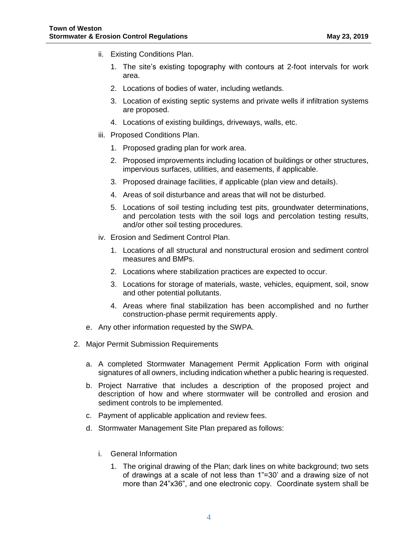- ii. Existing Conditions Plan.
	- 1. The site's existing topography with contours at 2-foot intervals for work area.
	- 2. Locations of bodies of water, including wetlands.
	- 3. Location of existing septic systems and private wells if infiltration systems are proposed.
	- 4. Locations of existing buildings, driveways, walls, etc.
- iii. Proposed Conditions Plan.
	- 1. Proposed grading plan for work area.
	- 2. Proposed improvements including location of buildings or other structures, impervious surfaces, utilities, and easements, if applicable.
	- 3. Proposed drainage facilities, if applicable (plan view and details).
	- 4. Areas of soil disturbance and areas that will not be disturbed.
	- 5. Locations of soil testing including test pits, groundwater determinations, and percolation tests with the soil logs and percolation testing results, and/or other soil testing procedures.
- iv. Erosion and Sediment Control Plan.
	- 1. Locations of all structural and nonstructural erosion and sediment control measures and BMPs.
	- 2. Locations where stabilization practices are expected to occur.
	- 3. Locations for storage of materials, waste, vehicles, equipment, soil, snow and other potential pollutants.
	- 4. Areas where final stabilization has been accomplished and no further construction-phase permit requirements apply.
- e. Any other information requested by the SWPA.
- 2. Major Permit Submission Requirements
	- a. A completed Stormwater Management Permit Application Form with original signatures of all owners, including indication whether a public hearing is requested.
	- b. Project Narrative that includes a description of the proposed project and description of how and where stormwater will be controlled and erosion and sediment controls to be implemented.
	- c. Payment of applicable application and review fees.
	- d. Stormwater Management Site Plan prepared as follows:
		- i. General Information
			- 1. The original drawing of the Plan; dark lines on white background; two sets of drawings at a scale of not less than 1"=30' and a drawing size of not more than 24"x36", and one electronic copy. Coordinate system shall be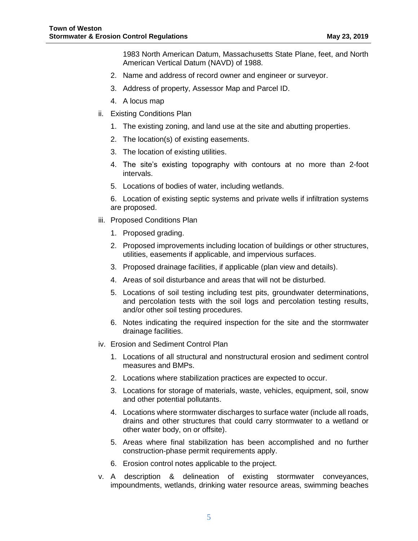1983 North American Datum, Massachusetts State Plane, feet, and North American Vertical Datum (NAVD) of 1988.

- 2. Name and address of record owner and engineer or surveyor.
- 3. Address of property, Assessor Map and Parcel ID.
- 4. A locus map
- ii. Existing Conditions Plan
	- 1. The existing zoning, and land use at the site and abutting properties.
	- 2. The location(s) of existing easements.
	- 3. The location of existing utilities.
	- 4. The site's existing topography with contours at no more than 2-foot intervals.
	- 5. Locations of bodies of water, including wetlands.

6. Location of existing septic systems and private wells if infiltration systems are proposed.

- iii. Proposed Conditions Plan
	- 1. Proposed grading.
	- 2. Proposed improvements including location of buildings or other structures, utilities, easements if applicable, and impervious surfaces.
	- 3. Proposed drainage facilities, if applicable (plan view and details).
	- 4. Areas of soil disturbance and areas that will not be disturbed.
	- 5. Locations of soil testing including test pits, groundwater determinations, and percolation tests with the soil logs and percolation testing results, and/or other soil testing procedures.
	- 6. Notes indicating the required inspection for the site and the stormwater drainage facilities.
- iv. Erosion and Sediment Control Plan
	- 1. Locations of all structural and nonstructural erosion and sediment control measures and BMPs.
	- 2. Locations where stabilization practices are expected to occur.
	- 3. Locations for storage of materials, waste, vehicles, equipment, soil, snow and other potential pollutants.
	- 4. Locations where stormwater discharges to surface water (include all roads, drains and other structures that could carry stormwater to a wetland or other water body, on or offsite).
	- 5. Areas where final stabilization has been accomplished and no further construction-phase permit requirements apply.
	- 6. Erosion control notes applicable to the project.
- v. A description & delineation of existing stormwater conveyances, impoundments, wetlands, drinking water resource areas, swimming beaches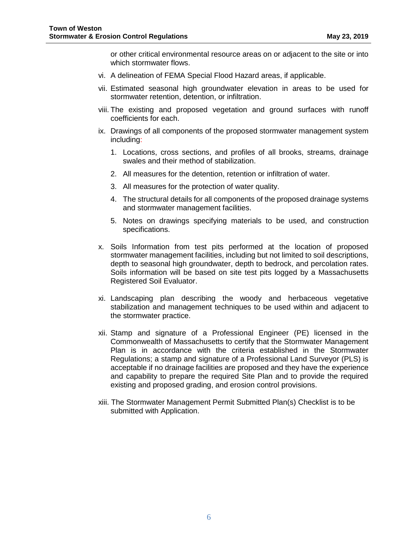or other critical environmental resource areas on or adjacent to the site or into which stormwater flows.

- vi. A delineation of FEMA Special Flood Hazard areas, if applicable.
- vii. Estimated seasonal high groundwater elevation in areas to be used for stormwater retention, detention, or infiltration.
- viii. The existing and proposed vegetation and ground surfaces with runoff coefficients for each.
- ix. Drawings of all components of the proposed stormwater management system including:
	- 1. Locations, cross sections, and profiles of all brooks, streams, drainage swales and their method of stabilization.
	- 2. All measures for the detention, retention or infiltration of water.
	- 3. All measures for the protection of water quality.
	- 4. The structural details for all components of the proposed drainage systems and stormwater management facilities.
	- 5. Notes on drawings specifying materials to be used, and construction specifications.
- x. Soils Information from test pits performed at the location of proposed stormwater management facilities, including but not limited to soil descriptions, depth to seasonal high groundwater, depth to bedrock, and percolation rates. Soils information will be based on site test pits logged by a Massachusetts Registered Soil Evaluator.
- xi. Landscaping plan describing the woody and herbaceous vegetative stabilization and management techniques to be used within and adjacent to the stormwater practice.
- xii. Stamp and signature of a Professional Engineer (PE) licensed in the Commonwealth of Massachusetts to certify that the Stormwater Management Plan is in accordance with the criteria established in the Stormwater Regulations; a stamp and signature of a Professional Land Surveyor (PLS) is acceptable if no drainage facilities are proposed and they have the experience and capability to prepare the required Site Plan and to provide the required existing and proposed grading, and erosion control provisions.
- xiii. The Stormwater Management Permit Submitted Plan(s) Checklist is to be submitted with Application.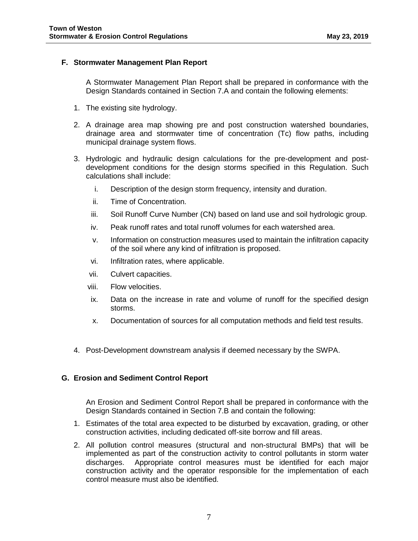## <span id="page-8-0"></span>**F. Stormwater Management Plan Report**

A Stormwater Management Plan Report shall be prepared in conformance with the Design Standards contained in Section 7.A and contain the following elements:

- 1. The existing site hydrology.
- 2. A drainage area map showing pre and post construction watershed boundaries, drainage area and stormwater time of concentration (Tc) flow paths, including municipal drainage system flows.
- 3. Hydrologic and hydraulic design calculations for the pre-development and postdevelopment conditions for the design storms specified in this Regulation. Such calculations shall include:
	- i. Description of the design storm frequency, intensity and duration.
	- ii. Time of Concentration.
	- iii. Soil Runoff Curve Number (CN) based on land use and soil hydrologic group.
	- iv. Peak runoff rates and total runoff volumes for each watershed area.
	- v. Information on construction measures used to maintain the infiltration capacity of the soil where any kind of infiltration is proposed.
	- vi. Infiltration rates, where applicable.
	- vii. Culvert capacities.
	- viii. Flow velocities.
	- ix. Data on the increase in rate and volume of runoff for the specified design storms.
	- x. Documentation of sources for all computation methods and field test results.
- 4. Post-Development downstream analysis if deemed necessary by the SWPA.

## <span id="page-8-1"></span>**G. Erosion and Sediment Control Report**

An Erosion and Sediment Control Report shall be prepared in conformance with the Design Standards contained in Section 7.B and contain the following:

- 1. Estimates of the total area expected to be disturbed by excavation, grading, or other construction activities, including dedicated off-site borrow and fill areas.
- 2. All pollution control measures (structural and non-structural BMPs) that will be implemented as part of the construction activity to control pollutants in storm water discharges. Appropriate control measures must be identified for each major construction activity and the operator responsible for the implementation of each control measure must also be identified.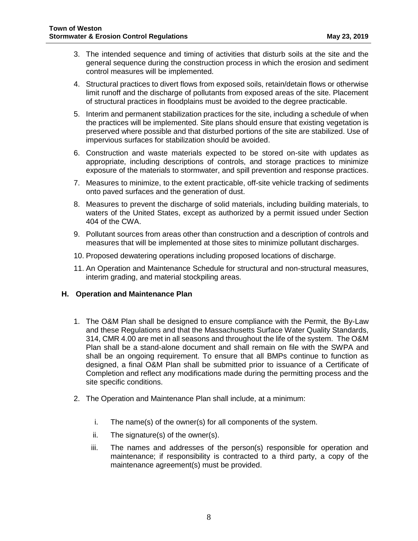- 3. The intended sequence and timing of activities that disturb soils at the site and the general sequence during the construction process in which the erosion and sediment control measures will be implemented.
- 4. Structural practices to divert flows from exposed soils, retain/detain flows or otherwise limit runoff and the discharge of pollutants from exposed areas of the site. Placement of structural practices in floodplains must be avoided to the degree practicable.
- 5. Interim and permanent stabilization practices for the site, including a schedule of when the practices will be implemented. Site plans should ensure that existing vegetation is preserved where possible and that disturbed portions of the site are stabilized. Use of impervious surfaces for stabilization should be avoided.
- 6. Construction and waste materials expected to be stored on-site with updates as appropriate, including descriptions of controls, and storage practices to minimize exposure of the materials to stormwater, and spill prevention and response practices.
- 7. Measures to minimize, to the extent practicable, off-site vehicle tracking of sediments onto paved surfaces and the generation of dust.
- 8. Measures to prevent the discharge of solid materials, including building materials, to waters of the United States, except as authorized by a permit issued under Section 404 of the CWA.
- 9. Pollutant sources from areas other than construction and a description of controls and measures that will be implemented at those sites to minimize pollutant discharges.
- 10. Proposed dewatering operations including proposed locations of discharge.
- 11. An Operation and Maintenance Schedule for structural and non-structural measures, interim grading, and material stockpiling areas.

#### <span id="page-9-0"></span>**H. Operation and Maintenance Plan**

- 1. The O&M Plan shall be designed to ensure compliance with the Permit, the By-Law and these Regulations and that the Massachusetts Surface Water Quality Standards, 314, CMR 4.00 are met in all seasons and throughout the life of the system. The O&M Plan shall be a stand-alone document and shall remain on file with the SWPA and shall be an ongoing requirement. To ensure that all BMPs continue to function as designed, a final O&M Plan shall be submitted prior to issuance of a Certificate of Completion and reflect any modifications made during the permitting process and the site specific conditions.
- 2. The Operation and Maintenance Plan shall include, at a minimum:
	- i. The name(s) of the owner(s) for all components of the system.
	- ii. The signature(s) of the owner(s).
	- iii. The names and addresses of the person(s) responsible for operation and maintenance; if responsibility is contracted to a third party, a copy of the maintenance agreement(s) must be provided.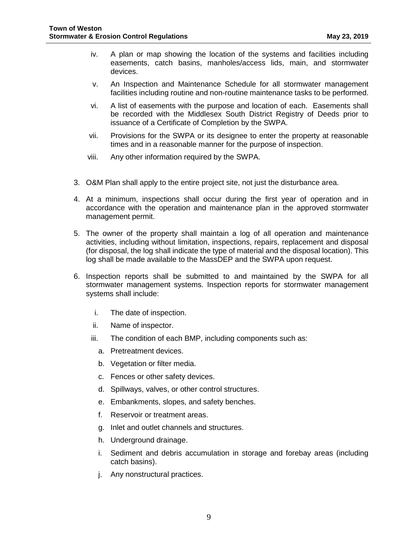- iv. A plan or map showing the location of the systems and facilities including easements, catch basins, manholes/access lids, main, and stormwater devices.
- v. An Inspection and Maintenance Schedule for all stormwater management facilities including routine and non-routine maintenance tasks to be performed.
- vi. A list of easements with the purpose and location of each. Easements shall be recorded with the Middlesex South District Registry of Deeds prior to issuance of a Certificate of Completion by the SWPA.
- vii. Provisions for the SWPA or its designee to enter the property at reasonable times and in a reasonable manner for the purpose of inspection.
- viii. Any other information required by the SWPA.
- 3. O&M Plan shall apply to the entire project site, not just the disturbance area.
- 4. At a minimum, inspections shall occur during the first year of operation and in accordance with the operation and maintenance plan in the approved stormwater management permit.
- 5. The owner of the property shall maintain a log of all operation and maintenance activities, including without limitation, inspections, repairs, replacement and disposal (for disposal, the log shall indicate the type of material and the disposal location). This log shall be made available to the MassDEP and the SWPA upon request.
- 6. Inspection reports shall be submitted to and maintained by the SWPA for all stormwater management systems. Inspection reports for stormwater management systems shall include:
	- i. The date of inspection.
	- ii. Name of inspector.
	- iii. The condition of each BMP, including components such as:
		- a. Pretreatment devices.
		- b. Vegetation or filter media.
		- c. Fences or other safety devices.
		- d. Spillways, valves, or other control structures.
		- e. Embankments, slopes, and safety benches.
		- f. Reservoir or treatment areas.
		- g. Inlet and outlet channels and structures.
		- h. Underground drainage.
		- i. Sediment and debris accumulation in storage and forebay areas (including catch basins).
		- j. Any nonstructural practices.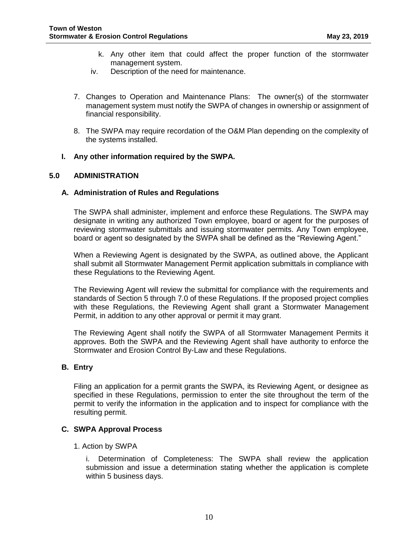- k. Any other item that could affect the proper function of the stormwater management system.
- iv. Description of the need for maintenance.
- 7. Changes to Operation and Maintenance Plans: The owner(s) of the stormwater management system must notify the SWPA of changes in ownership or assignment of financial responsibility.
- 8. The SWPA may require recordation of the O&M Plan depending on the complexity of the systems installed.

## <span id="page-11-0"></span>**I. Any other information required by the SWPA.**

#### <span id="page-11-2"></span><span id="page-11-1"></span>**5.0 ADMINISTRATION**

#### **A. Administration of Rules and Regulations**

The SWPA shall administer, implement and enforce these Regulations. The SWPA may designate in writing any authorized Town employee, board or agent for the purposes of reviewing stormwater submittals and issuing stormwater permits. Any Town employee, board or agent so designated by the SWPA shall be defined as the "Reviewing Agent."

When a Reviewing Agent is designated by the SWPA, as outlined above, the Applicant shall submit all Stormwater Management Permit application submittals in compliance with these Regulations to the Reviewing Agent.

The Reviewing Agent will review the submittal for compliance with the requirements and standards of Section 5 through 7.0 of these Regulations. If the proposed project complies with these Regulations, the Reviewing Agent shall grant a Stormwater Management Permit, in addition to any other approval or permit it may grant.

The Reviewing Agent shall notify the SWPA of all Stormwater Management Permits it approves. Both the SWPA and the Reviewing Agent shall have authority to enforce the Stormwater and Erosion Control By-Law and these Regulations.

## <span id="page-11-3"></span>**B. Entry**

Filing an application for a permit grants the SWPA, its Reviewing Agent, or designee as specified in these Regulations, permission to enter the site throughout the term of the permit to verify the information in the application and to inspect for compliance with the resulting permit.

#### <span id="page-11-4"></span>**C. SWPA Approval Process**

#### 1. Action by SWPA

i. Determination of Completeness: The SWPA shall review the application submission and issue a determination stating whether the application is complete within 5 business days.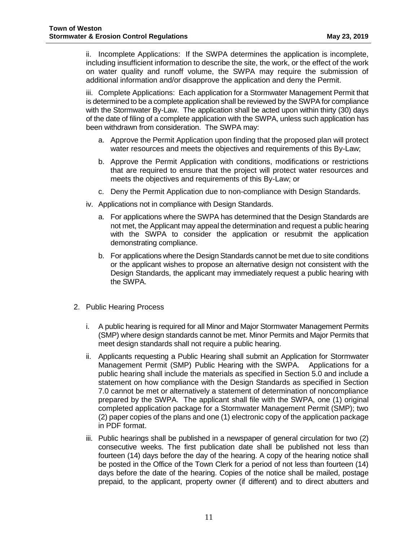ii. Incomplete Applications: If the SWPA determines the application is incomplete, including insufficient information to describe the site, the work, or the effect of the work on water quality and runoff volume, the SWPA may require the submission of additional information and/or disapprove the application and deny the Permit.

iii. Complete Applications: Each application for a Stormwater Management Permit that is determined to be a complete application shall be reviewed by the SWPA for compliance with the Stormwater By-Law. The application shall be acted upon within thirty (30) days of the date of filing of a complete application with the SWPA, unless such application has been withdrawn from consideration. The SWPA may:

- a. Approve the Permit Application upon finding that the proposed plan will protect water resources and meets the objectives and requirements of this By-Law;
- b. Approve the Permit Application with conditions, modifications or restrictions that are required to ensure that the project will protect water resources and meets the objectives and requirements of this By-Law; or
- c. Deny the Permit Application due to non-compliance with Design Standards.
- iv. Applications not in compliance with Design Standards.
	- a. For applications where the SWPA has determined that the Design Standards are not met, the Applicant may appeal the determination and request a public hearing with the SWPA to consider the application or resubmit the application demonstrating compliance.
	- b. For applications where the Design Standards cannot be met due to site conditions or the applicant wishes to propose an alternative design not consistent with the Design Standards, the applicant may immediately request a public hearing with the SWPA.
- 2. Public Hearing Process
	- i. A public hearing is required for all Minor and Major Stormwater Management Permits (SMP) where design standards cannot be met. Minor Permits and Major Permits that meet design standards shall not require a public hearing.
	- ii. Applicants requesting a Public Hearing shall submit an Application for Stormwater Management Permit (SMP) Public Hearing with the SWPA. Applications for a public hearing shall include the materials as specified in Section 5.0 and include a statement on how compliance with the Design Standards as specified in Section 7.0 cannot be met or alternatively a statement of determination of noncompliance prepared by the SWPA. The applicant shall file with the SWPA, one (1) original completed application package for a Stormwater Management Permit (SMP); two (2) paper copies of the plans and one (1) electronic copy of the application package in PDF format.
	- iii. Public hearings shall be published in a newspaper of general circulation for two (2) consecutive weeks. The first publication date shall be published not less than fourteen (14) days before the day of the hearing. A copy of the hearing notice shall be posted in the Office of the Town Clerk for a period of not less than fourteen (14) days before the date of the hearing. Copies of the notice shall be mailed, postage prepaid, to the applicant, property owner (if different) and to direct abutters and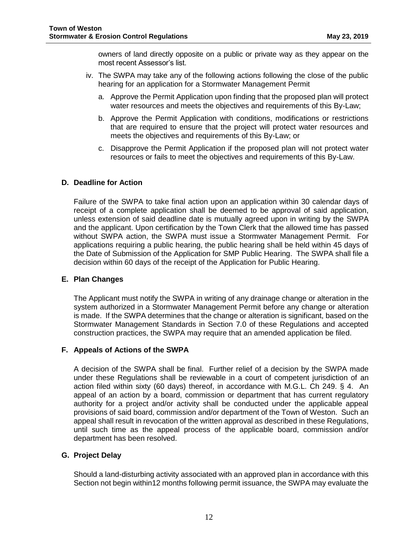owners of land directly opposite on a public or private way as they appear on the most recent Assessor's list.

- iv. The SWPA may take any of the following actions following the close of the public hearing for an application for a Stormwater Management Permit
	- a. Approve the Permit Application upon finding that the proposed plan will protect water resources and meets the objectives and requirements of this By-Law;
	- b. Approve the Permit Application with conditions, modifications or restrictions that are required to ensure that the project will protect water resources and meets the objectives and requirements of this By-Law; or
	- c. Disapprove the Permit Application if the proposed plan will not protect water resources or fails to meet the objectives and requirements of this By-Law.

## <span id="page-13-0"></span>**D. Deadline for Action**

Failure of the SWPA to take final action upon an application within 30 calendar days of receipt of a complete application shall be deemed to be approval of said application, unless extension of said deadline date is mutually agreed upon in writing by the SWPA and the applicant. Upon certification by the Town Clerk that the allowed time has passed without SWPA action, the SWPA must issue a Stormwater Management Permit. For applications requiring a public hearing, the public hearing shall be held within 45 days of the Date of Submission of the Application for SMP Public Hearing. The SWPA shall file a decision within 60 days of the receipt of the Application for Public Hearing.

#### <span id="page-13-1"></span>**E. Plan Changes**

The Applicant must notify the SWPA in writing of any drainage change or alteration in the system authorized in a Stormwater Management Permit before any change or alteration is made. If the SWPA determines that the change or alteration is significant, based on the Stormwater Management Standards in Section 7.0 of these Regulations and accepted construction practices, the SWPA may require that an amended application be filed.

#### <span id="page-13-2"></span>**F. Appeals of Actions of the SWPA**

A decision of the SWPA shall be final. Further relief of a decision by the SWPA made under these Regulations shall be reviewable in a court of competent jurisdiction of an action filed within sixty (60 days) thereof, in accordance with M.G.L. Ch 249. § 4. An appeal of an action by a board, commission or department that has current regulatory authority for a project and/or activity shall be conducted under the applicable appeal provisions of said board, commission and/or department of the Town of Weston. Such an appeal shall result in revocation of the written approval as described in these Regulations, until such time as the appeal process of the applicable board, commission and/or department has been resolved.

#### <span id="page-13-3"></span>**G. Project Delay**

Should a land-disturbing activity associated with an approved plan in accordance with this Section not begin within12 months following permit issuance, the SWPA may evaluate the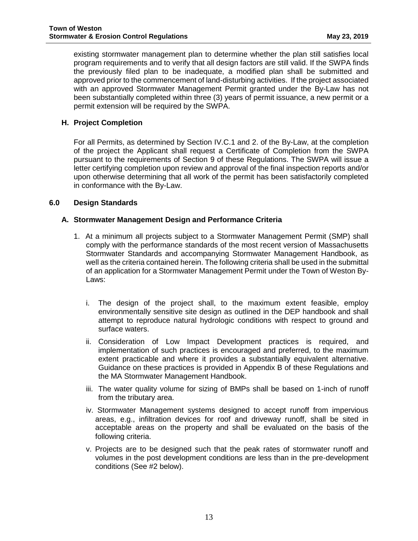existing stormwater management plan to determine whether the plan still satisfies local program requirements and to verify that all design factors are still valid. If the SWPA finds the previously filed plan to be inadequate, a modified plan shall be submitted and approved prior to the commencement of land-disturbing activities. If the project associated with an approved Stormwater Management Permit granted under the By-Law has not been substantially completed within three (3) years of permit issuance, a new permit or a permit extension will be required by the SWPA.

# <span id="page-14-0"></span>**H. Project Completion**

For all Permits, as determined by Section IV.C.1 and 2. of the By-Law, at the completion of the project the Applicant shall request a Certificate of Completion from the SWPA pursuant to the requirements of Section 9 of these Regulations. The SWPA will issue a letter certifying completion upon review and approval of the final inspection reports and/or upon otherwise determining that all work of the permit has been satisfactorily completed in conformance with the By-Law.

## <span id="page-14-2"></span><span id="page-14-1"></span>**6.0 Design Standards**

## **A. Stormwater Management Design and Performance Criteria**

- 1. At a minimum all projects subject to a Stormwater Management Permit (SMP) shall comply with the performance standards of the most recent version of Massachusetts Stormwater Standards and accompanying Stormwater Management Handbook, as well as the criteria contained herein. The following criteria shall be used in the submittal of an application for a Stormwater Management Permit under the Town of Weston By-Laws:
	- i. The design of the project shall, to the maximum extent feasible, employ environmentally sensitive site design as outlined in the DEP handbook and shall attempt to reproduce natural hydrologic conditions with respect to ground and surface waters.
	- ii. Consideration of Low Impact Development practices is required, and implementation of such practices is encouraged and preferred, to the maximum extent practicable and where it provides a substantially equivalent alternative. Guidance on these practices is provided in Appendix B of these Regulations and the MA Stormwater Management Handbook.
	- iii. The water quality volume for sizing of BMPs shall be based on 1-inch of runoff from the tributary area.
	- iv. Stormwater Management systems designed to accept runoff from impervious areas, e.g., infiltration devices for roof and driveway runoff, shall be sited in acceptable areas on the property and shall be evaluated on the basis of the following criteria.
	- v. Projects are to be designed such that the peak rates of stormwater runoff and volumes in the post development conditions are less than in the pre-development conditions (See #2 below).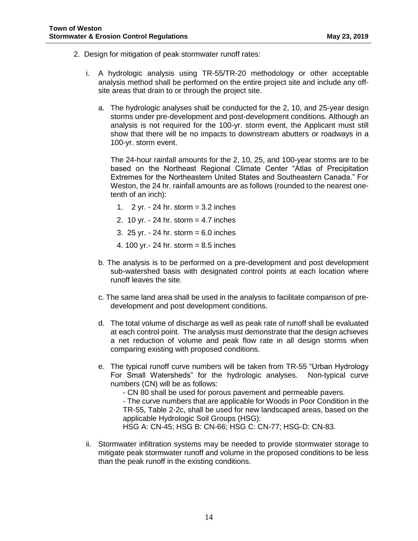- 2. Design for mitigation of peak stormwater runoff rates:
	- i. A hydrologic analysis using TR-55/TR-20 methodology or other acceptable analysis method shall be performed on the entire project site and include any offsite areas that drain to or through the project site.
		- a. The hydrologic analyses shall be conducted for the 2, 10, and 25-year design storms under pre-development and post-development conditions. Although an analysis is not required for the 100-yr. storm event, the Applicant must still show that there will be no impacts to downstream abutters or roadways in a 100-yr. storm event.

The 24-hour rainfall amounts for the 2, 10, 25, and 100-year storms are to be based on the Northeast Regional Climate Center "Atlas of Precipitation Extremes for the Northeastern United States and Southeastern Canada." For Weston, the 24 hr. rainfall amounts are as follows (rounded to the nearest onetenth of an inch):

- 1.  $2 \text{ yr}$ .  $24 \text{ hr}$ . storm = 3.2 inches
- 2. 10 yr. 24 hr. storm = 4.7 inches
- 3. 25 yr. 24 hr. storm = 6.0 inches
- 4. 100 yr.- 24 hr. storm = 8.5 inches
- b. The analysis is to be performed on a pre-development and post development sub-watershed basis with designated control points at each location where runoff leaves the site.
- c. The same land area shall be used in the analysis to facilitate comparison of predevelopment and post development conditions.
- d. The total volume of discharge as well as peak rate of runoff shall be evaluated at each control point. The analysis must demonstrate that the design achieves a net reduction of volume and peak flow rate in all design storms when comparing existing with proposed conditions.
- e. The typical runoff curve numbers will be taken from TR-55 "Urban Hydrology For Small Watersheds" for the hydrologic analyses. Non-typical curve numbers (CN) will be as follows:
	- CN 80 shall be used for porous pavement and permeable pavers.

- The curve numbers that are applicable for Woods in Poor Condition in the TR-55, Table 2-2c, shall be used for new landscaped areas, based on the applicable Hydrologic Soil Groups (HSG):

HSG A: CN-45; HSG B: CN-66; HSG C: CN-77; HSG-D: CN-83.

ii. Stormwater infiltration systems may be needed to provide stormwater storage to mitigate peak stormwater runoff and volume in the proposed conditions to be less than the peak runoff in the existing conditions.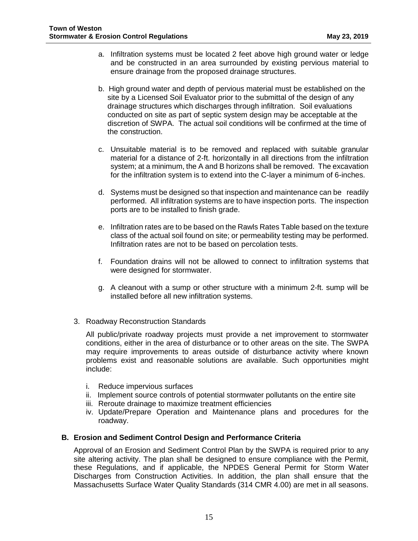- a. Infiltration systems must be located 2 feet above high ground water or ledge and be constructed in an area surrounded by existing pervious material to ensure drainage from the proposed drainage structures.
- b. High ground water and depth of pervious material must be established on the site by a Licensed Soil Evaluator prior to the submittal of the design of any drainage structures which discharges through infiltration. Soil evaluations conducted on site as part of septic system design may be acceptable at the discretion of SWPA. The actual soil conditions will be confirmed at the time of the construction.
- c. Unsuitable material is to be removed and replaced with suitable granular material for a distance of 2-ft. horizontally in all directions from the infiltration system; at a minimum, the A and B horizons shall be removed. The excavation for the infiltration system is to extend into the C-layer a minimum of 6-inches.
- d. Systems must be designed so that inspection and maintenance can be readily performed. All infiltration systems are to have inspection ports. The inspection ports are to be installed to finish grade.
- e. Infiltration rates are to be based on the Rawls Rates Table based on the texture class of the actual soil found on site; or permeability testing may be performed. Infiltration rates are not to be based on percolation tests.
- f. Foundation drains will not be allowed to connect to infiltration systems that were designed for stormwater.
- g. A cleanout with a sump or other structure with a minimum 2-ft. sump will be installed before all new infiltration systems.
- 3. Roadway Reconstruction Standards

All public/private roadway projects must provide a net improvement to stormwater conditions, either in the area of disturbance or to other areas on the site. The SWPA may require improvements to areas outside of disturbance activity where known problems exist and reasonable solutions are available. Such opportunities might include:

- i. Reduce impervious surfaces
- ii. Implement source controls of potential stormwater pollutants on the entire site
- iii. Reroute drainage to maximize treatment efficiencies
- iv. Update/Prepare Operation and Maintenance plans and procedures for the roadway.

#### <span id="page-16-0"></span>**B. Erosion and Sediment Control Design and Performance Criteria**

Approval of an Erosion and Sediment Control Plan by the SWPA is required prior to any site altering activity. The plan shall be designed to ensure compliance with the Permit, these Regulations, and if applicable, the NPDES General Permit for Storm Water Discharges from Construction Activities. In addition, the plan shall ensure that the Massachusetts Surface Water Quality Standards (314 CMR 4.00) are met in all seasons.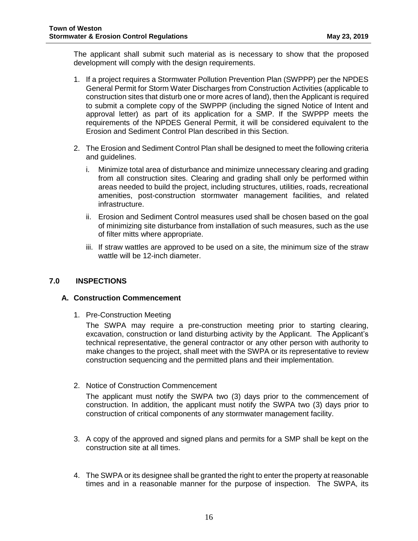The applicant shall submit such material as is necessary to show that the proposed development will comply with the design requirements.

- 1. If a project requires a Stormwater Pollution Prevention Plan (SWPPP) per the NPDES General Permit for Storm Water Discharges from Construction Activities (applicable to construction sites that disturb one or more acres of land), then the Applicant is required to submit a complete copy of the SWPPP (including the signed Notice of Intent and approval letter) as part of its application for a SMP. If the SWPPP meets the requirements of the NPDES General Permit, it will be considered equivalent to the Erosion and Sediment Control Plan described in this Section.
- 2. The Erosion and Sediment Control Plan shall be designed to meet the following criteria and guidelines.
	- i. Minimize total area of disturbance and minimize unnecessary clearing and grading from all construction sites. Clearing and grading shall only be performed within areas needed to build the project, including structures, utilities, roads, recreational amenities, post-construction stormwater management facilities, and related infrastructure.
	- ii. Erosion and Sediment Control measures used shall be chosen based on the goal of minimizing site disturbance from installation of such measures, such as the use of filter mitts where appropriate.
	- iii. If straw wattles are approved to be used on a site, the minimum size of the straw wattle will be 12-inch diameter.

#### <span id="page-17-1"></span><span id="page-17-0"></span>**7.0 INSPECTIONS**

#### **A. Construction Commencement**

1. Pre-Construction Meeting

The SWPA may require a pre-construction meeting prior to starting clearing, excavation, construction or land disturbing activity by the Applicant. The Applicant's technical representative, the general contractor or any other person with authority to make changes to the project, shall meet with the SWPA or its representative to review construction sequencing and the permitted plans and their implementation.

2. Notice of Construction Commencement

The applicant must notify the SWPA two (3) days prior to the commencement of construction. In addition, the applicant must notify the SWPA two (3) days prior to construction of critical components of any stormwater management facility.

- 3. A copy of the approved and signed plans and permits for a SMP shall be kept on the construction site at all times.
- 4. The SWPA or its designee shall be granted the right to enter the property at reasonable times and in a reasonable manner for the purpose of inspection. The SWPA, its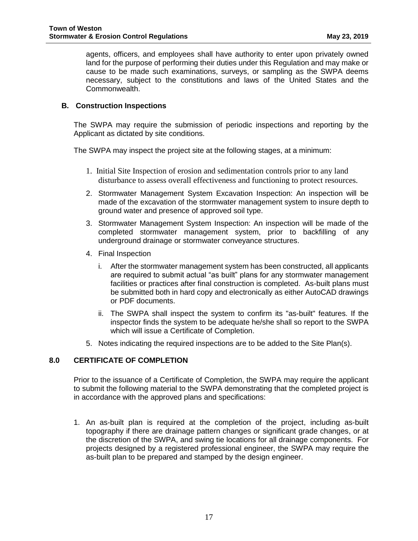agents, officers, and employees shall have authority to enter upon privately owned land for the purpose of performing their duties under this Regulation and may make or cause to be made such examinations, surveys, or sampling as the SWPA deems necessary, subject to the constitutions and laws of the United States and the Commonwealth.

## <span id="page-18-0"></span>**B. Construction Inspections**

The SWPA may require the submission of periodic inspections and reporting by the Applicant as dictated by site conditions.

The SWPA may inspect the project site at the following stages, at a minimum:

- 1. Initial Site Inspection of erosion and sedimentation controls prior to any land disturbance to assess overall effectiveness and functioning to protect resources.
- 2. Stormwater Management System Excavation Inspection: An inspection will be made of the excavation of the stormwater management system to insure depth to ground water and presence of approved soil type.
- 3. Stormwater Management System Inspection: An inspection will be made of the completed stormwater management system, prior to backfilling of any underground drainage or stormwater conveyance structures.
- 4. Final Inspection
	- i. After the stormwater management system has been constructed, all applicants are required to submit actual "as built" plans for any stormwater management facilities or practices after final construction is completed. As-built plans must be submitted both in hard copy and electronically as either AutoCAD drawings or PDF documents.
	- ii. The SWPA shall inspect the system to confirm its "as-built" features. If the inspector finds the system to be adequate he/she shall so report to the SWPA which will issue a Certificate of Completion.
- 5. Notes indicating the required inspections are to be added to the Site Plan(s).

# <span id="page-18-1"></span>**8.0 CERTIFICATE OF COMPLETION**

Prior to the issuance of a Certificate of Completion, the SWPA may require the applicant to submit the following material to the SWPA demonstrating that the completed project is in accordance with the approved plans and specifications:

1. An as-built plan is required at the completion of the project, including as-built topography if there are drainage pattern changes or significant grade changes, or at the discretion of the SWPA, and swing tie locations for all drainage components. For projects designed by a registered professional engineer, the SWPA may require the as-built plan to be prepared and stamped by the design engineer.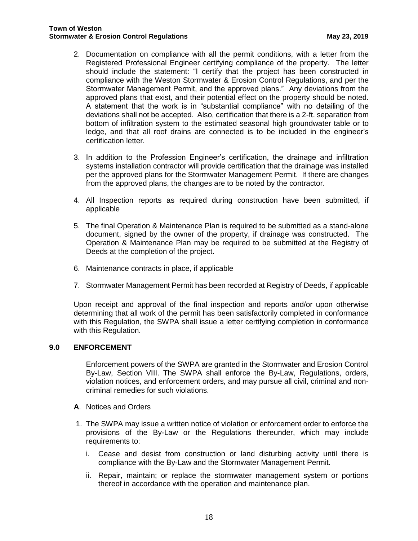- 2. Documentation on compliance with all the permit conditions, with a letter from the Registered Professional Engineer certifying compliance of the property. The letter should include the statement: "I certify that the project has been constructed in compliance with the Weston Stormwater & Erosion Control Regulations, and per the Stormwater Management Permit, and the approved plans." Any deviations from the approved plans that exist, and their potential effect on the property should be noted. A statement that the work is in "substantial compliance" with no detailing of the deviations shall not be accepted. Also, certification that there is a 2-ft. separation from bottom of infiltration system to the estimated seasonal high groundwater table or to ledge, and that all roof drains are connected is to be included in the engineer's certification letter.
- 3. In addition to the Profession Engineer's certification, the drainage and infiltration systems installation contractor will provide certification that the drainage was installed per the approved plans for the Stormwater Management Permit. If there are changes from the approved plans, the changes are to be noted by the contractor.
- 4. All Inspection reports as required during construction have been submitted, if applicable
- 5. The final Operation & Maintenance Plan is required to be submitted as a stand-alone document, signed by the owner of the property, if drainage was constructed. The Operation & Maintenance Plan may be required to be submitted at the Registry of Deeds at the completion of the project.
- 6. Maintenance contracts in place, if applicable
- 7. Stormwater Management Permit has been recorded at Registry of Deeds, if applicable

Upon receipt and approval of the final inspection and reports and/or upon otherwise determining that all work of the permit has been satisfactorily completed in conformance with this Regulation, the SWPA shall issue a letter certifying completion in conformance with this Regulation.

#### <span id="page-19-0"></span>**9.0 ENFORCEMENT**

Enforcement powers of the SWPA are granted in the Stormwater and Erosion Control By-Law, Section VIII. The SWPA shall enforce the By-Law, Regulations, orders, violation notices, and enforcement orders, and may pursue all civil, criminal and noncriminal remedies for such violations.

- **A**. Notices and Orders
- 1. The SWPA may issue a written notice of violation or enforcement order to enforce the provisions of the By-Law or the Regulations thereunder, which may include requirements to:
	- i. Cease and desist from construction or land disturbing activity until there is compliance with the By-Law and the Stormwater Management Permit.
	- ii. Repair, maintain; or replace the stormwater management system or portions thereof in accordance with the operation and maintenance plan.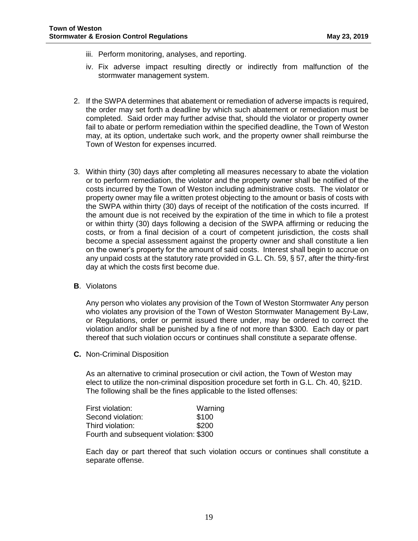- iii. Perform monitoring, analyses, and reporting.
- iv. Fix adverse impact resulting directly or indirectly from malfunction of the stormwater management system.
- 2. If the SWPA determines that abatement or remediation of adverse impacts is required, the order may set forth a deadline by which such abatement or remediation must be completed. Said order may further advise that, should the violator or property owner fail to abate or perform remediation within the specified deadline, the Town of Weston may, at its option, undertake such work, and the property owner shall reimburse the Town of Weston for expenses incurred.
- 3. Within thirty (30) days after completing all measures necessary to abate the violation or to perform remediation, the violator and the property owner shall be notified of the costs incurred by the Town of Weston including administrative costs. The violator or property owner may file a written protest objecting to the amount or basis of costs with the SWPA within thirty (30) days of receipt of the notification of the costs incurred. If the amount due is not received by the expiration of the time in which to file a protest or within thirty (30) days following a decision of the SWPA affirming or reducing the costs, or from a final decision of a court of competent jurisdiction, the costs shall become a special assessment against the property owner and shall constitute a lien on the owner's property for the amount of said costs. Interest shall begin to accrue on any unpaid costs at the statutory rate provided in G.L. Ch. 59, § 57, after the thirty-first day at which the costs first become due.
- **B**. Violatons

Any person who violates any provision of the Town of Weston Stormwater Any person who violates any provision of the Town of Weston Stormwater Management By-Law, or Regulations, order or permit issued there under, may be ordered to correct the violation and/or shall be punished by a fine of not more than \$300. Each day or part thereof that such violation occurs or continues shall constitute a separate offense.

**C.** Non-Criminal Disposition

As an alternative to criminal prosecution or civil action, the Town of Weston may elect to utilize the non-criminal disposition procedure set forth in G.L. Ch. 40, §21D. The following shall be the fines applicable to the listed offenses:

| First violation:                       | Warning |
|----------------------------------------|---------|
| Second violation:                      | \$100   |
| Third violation:                       | \$200   |
| Fourth and subsequent violation: \$300 |         |

Each day or part thereof that such violation occurs or continues shall constitute a separate offense.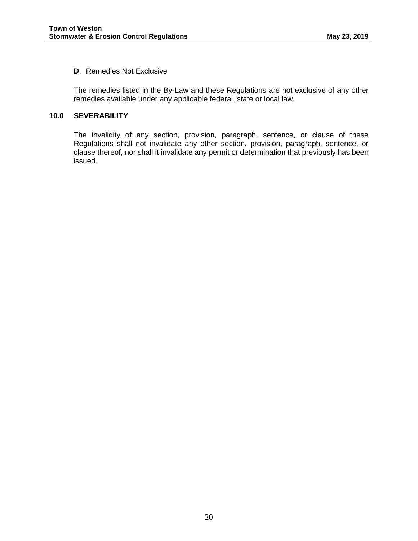## **D**. Remedies Not Exclusive

The remedies listed in the By-Law and these Regulations are not exclusive of any other remedies available under any applicable federal, state or local law.

## <span id="page-21-0"></span>**10.0 SEVERABILITY**

The invalidity of any section, provision, paragraph, sentence, or clause of these Regulations shall not invalidate any other section, provision, paragraph, sentence, or clause thereof, nor shall it invalidate any permit or determination that previously has been issued.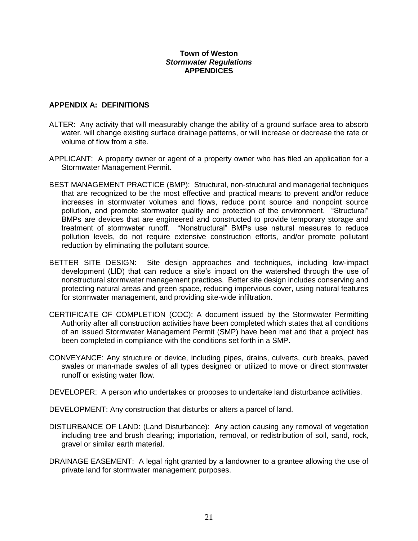## **Town of Weston** *Stormwater Regulations* **APPENDICES**

## <span id="page-22-0"></span>**APPENDIX A: DEFINITIONS**

- ALTER: Any activity that will measurably change the ability of a ground surface area to absorb water, will change existing surface drainage patterns, or will increase or decrease the rate or volume of flow from a site.
- APPLICANT: A property owner or agent of a property owner who has filed an application for a Stormwater Management Permit.
- BEST MANAGEMENT PRACTICE (BMP): Structural, non-structural and managerial techniques that are recognized to be the most effective and practical means to prevent and/or reduce increases in stormwater volumes and flows, reduce point source and nonpoint source pollution, and promote stormwater quality and protection of the environment. "Structural" BMPs are devices that are engineered and constructed to provide temporary storage and treatment of stormwater runoff. "Nonstructural" BMPs use natural measures to reduce pollution levels, do not require extensive construction efforts, and/or promote pollutant reduction by eliminating the pollutant source.
- BETTER SITE DESIGN: Site design approaches and techniques, including low-impact development (LID) that can reduce a site's impact on the watershed through the use of nonstructural stormwater management practices. Better site design includes conserving and protecting natural areas and green space, reducing impervious cover, using natural features for stormwater management, and providing site-wide infiltration.
- CERTIFICATE OF COMPLETION (COC): A document issued by the Stormwater Permitting Authority after all construction activities have been completed which states that all conditions of an issued Stormwater Management Permit (SMP) have been met and that a project has been completed in compliance with the conditions set forth in a SMP.
- CONVEYANCE: Any structure or device, including pipes, drains, culverts, curb breaks, paved swales or man-made swales of all types designed or utilized to move or direct stormwater runoff or existing water flow.
- DEVELOPER: A person who undertakes or proposes to undertake land disturbance activities.
- DEVELOPMENT: Any construction that disturbs or alters a parcel of land.
- DISTURBANCE OF LAND: (Land Disturbance): Any action causing any removal of vegetation including tree and brush clearing; importation, removal, or redistribution of soil, sand, rock, gravel or similar earth material.
- DRAINAGE EASEMENT: A legal right granted by a landowner to a grantee allowing the use of private land for stormwater management purposes.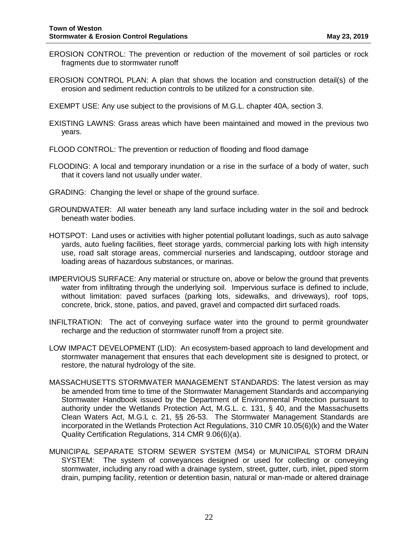- EROSION CONTROL: The prevention or reduction of the movement of soil particles or rock fragments due to stormwater runoff
- EROSION CONTROL PLAN: A plan that shows the location and construction detail(s) of the erosion and sediment reduction controls to be utilized for a construction site.
- EXEMPT USE: Any use subject to the provisions of M.G.L. chapter 40A, section 3.
- EXISTING LAWNS: Grass areas which have been maintained and mowed in the previous two years.
- FLOOD CONTROL: The prevention or reduction of flooding and flood damage
- FLOODING: A local and temporary inundation or a rise in the surface of a body of water, such that it covers land not usually under water.
- GRADING: Changing the level or shape of the ground surface.
- GROUNDWATER: All water beneath any land surface including water in the soil and bedrock beneath water bodies.
- HOTSPOT: Land uses or activities with higher potential pollutant loadings, such as auto salvage yards, auto fueling facilities, fleet storage yards, commercial parking lots with high intensity use, road salt storage areas, commercial nurseries and landscaping, outdoor storage and loading areas of hazardous substances, or marinas.
- IMPERVIOUS SURFACE: Any material or structure on, above or below the ground that prevents water from infiltrating through the underlying soil. Impervious surface is defined to include, without limitation: paved surfaces (parking lots, sidewalks, and driveways), roof tops, concrete, brick, stone, patios, and paved, gravel and compacted dirt surfaced roads.
- INFILTRATION: The act of conveying surface water into the ground to permit groundwater recharge and the reduction of stormwater runoff from a project site.
- LOW IMPACT DEVELOPMENT (LID): An ecosystem-based approach to land development and stormwater management that ensures that each development site is designed to protect, or restore, the natural hydrology of the site.
- MASSACHUSETTS STORMWATER MANAGEMENT STANDARDS: The latest version as may be amended from time to time of the Stormwater Management Standards and accompanying Stormwater Handbook issued by the Department of Environmental Protection pursuant to authority under the Wetlands Protection Act, M.G.L. c. 131, § 40, and the Massachusetts Clean Waters Act, M.G.L c. 21, §§ 26-53. The Stormwater Management Standards are incorporated in the Wetlands Protection Act Regulations, 310 CMR 10.05(6)(k) and the Water Quality Certification Regulations, 314 CMR 9.06(6)(a).
- MUNICIPAL SEPARATE STORM SEWER SYSTEM (MS4) or MUNICIPAL STORM DRAIN SYSTEM: The system of conveyances designed or used for collecting or conveying stormwater, including any road with a drainage system, street, gutter, curb, inlet, piped storm drain, pumping facility, retention or detention basin, natural or man-made or altered drainage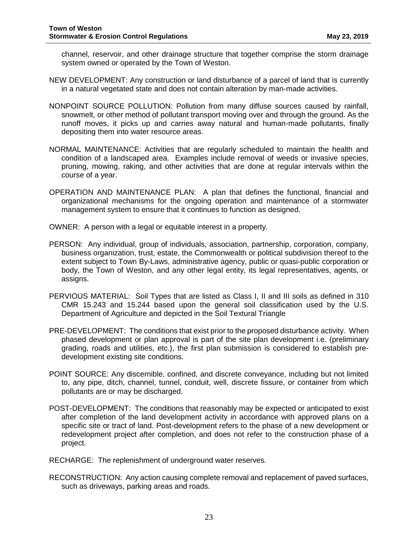channel, reservoir, and other drainage structure that together comprise the storm drainage system owned or operated by the Town of Weston.

- NEW DEVELOPMENT: Any construction or land disturbance of a parcel of land that is currently in a natural vegetated state and does not contain alteration by man-made activities.
- NONPOINT SOURCE POLLUTION: Pollution from many diffuse sources caused by rainfall, snowmelt, or other method of pollutant transport moving over and through the ground. As the runoff moves, it picks up and carries away natural and human-made pollutants, finally depositing them into water resource areas.
- NORMAL MAINTENANCE: Activities that are regularly scheduled to maintain the health and condition of a landscaped area. Examples include removal of weeds or invasive species, pruning, mowing, raking, and other activities that are done at regular intervals within the course of a year.
- OPERATION AND MAINTENANCE PLAN: A plan that defines the functional, financial and organizational mechanisms for the ongoing operation and maintenance of a stormwater management system to ensure that it continues to function as designed.
- OWNER: A person with a legal or equitable interest in a property.
- PERSON: Any individual, group of individuals, association, partnership, corporation, company, business organization, trust, estate, the Commonwealth or political subdivision thereof to the extent subject to Town By-Laws, administrative agency, public or quasi-public corporation or body, the Town of Weston, and any other legal entity, its legal representatives, agents, or assigns.
- PERVIOUS MATERIAL: Soil Types that are listed as Class I, II and III soils as defined in 310 CMR 15.243 and 15.244 based upon the general soil classification used by the U.S. Department of Agriculture and depicted in the Soil Textural Triangle
- PRE-DEVELOPMENT: The conditions that exist prior to the proposed disturbance activity. When phased development or plan approval is part of the site plan development i.e. (preliminary grading, roads and utilities, etc.), the first plan submission is considered to establish predevelopment existing site conditions.
- POINT SOURCE: Any discernible, confined, and discrete conveyance, including but not limited to, any pipe, ditch, channel, tunnel, conduit, well, discrete fissure, or container from which pollutants are or may be discharged.
- POST-DEVELOPMENT: The conditions that reasonably may be expected or anticipated to exist after completion of the land development activity in accordance with approved plans on a specific site or tract of land. Post-development refers to the phase of a new development or redevelopment project after completion, and does not refer to the construction phase of a project.
- RECHARGE: The replenishment of underground water reserves.
- RECONSTRUCTION: Any action causing complete removal and replacement of paved surfaces, such as driveways, parking areas and roads.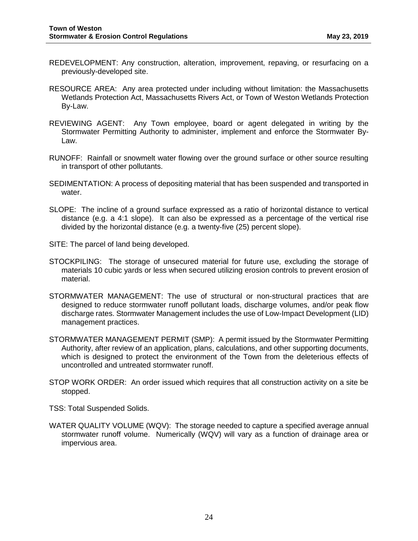- REDEVELOPMENT: Any construction, alteration, improvement, repaving, or resurfacing on a previously-developed site.
- RESOURCE AREA: Any area protected under including without limitation: the Massachusetts Wetlands Protection Act, Massachusetts Rivers Act, or Town of Weston Wetlands Protection By-Law.
- REVIEWING AGENT: Any Town employee, board or agent delegated in writing by the Stormwater Permitting Authority to administer, implement and enforce the Stormwater By-Law.
- RUNOFF: Rainfall or snowmelt water flowing over the ground surface or other source resulting in transport of other pollutants.
- SEDIMENTATION: A process of depositing material that has been suspended and transported in water.
- SLOPE: The incline of a ground surface expressed as a ratio of horizontal distance to vertical distance (e.g. a 4:1 slope). It can also be expressed as a percentage of the vertical rise divided by the horizontal distance (e.g. a twenty-five (25) percent slope).
- SITE: The parcel of land being developed.
- STOCKPILING: The storage of unsecured material for future use, excluding the storage of materials 10 cubic yards or less when secured utilizing erosion controls to prevent erosion of material.
- STORMWATER MANAGEMENT: The use of structural or non-structural practices that are designed to reduce stormwater runoff pollutant loads, discharge volumes, and/or peak flow discharge rates. Stormwater Management includes the use of Low-Impact Development (LID) management practices.
- STORMWATER MANAGEMENT PERMIT (SMP): A permit issued by the Stormwater Permitting Authority, after review of an application, plans, calculations, and other supporting documents, which is designed to protect the environment of the Town from the deleterious effects of uncontrolled and untreated stormwater runoff.
- STOP WORK ORDER: An order issued which requires that all construction activity on a site be stopped.
- TSS: Total Suspended Solids.
- WATER QUALITY VOLUME (WQV): The storage needed to capture a specified average annual stormwater runoff volume. Numerically (WQV) will vary as a function of drainage area or impervious area.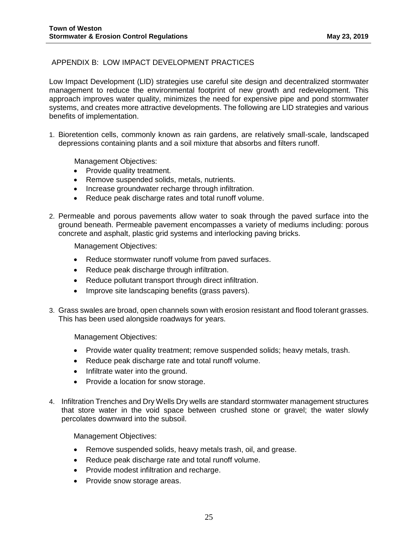# <span id="page-26-0"></span>APPENDIX B: LOW IMPACT DEVELOPMENT PRACTICES

Low Impact Development (LID) strategies use careful site design and decentralized stormwater management to reduce the environmental footprint of new growth and redevelopment. This approach improves water quality, minimizes the need for expensive pipe and pond stormwater systems, and creates more attractive developments. The following are LID strategies and various benefits of implementation.

1. Bioretention cells, commonly known as rain gardens, are relatively small-scale, landscaped depressions containing plants and a soil mixture that absorbs and filters runoff.

Management Objectives:

- Provide quality treatment.
- Remove suspended solids, metals, nutrients.
- Increase groundwater recharge through infiltration.
- Reduce peak discharge rates and total runoff volume.
- 2. Permeable and porous pavements allow water to soak through the paved surface into the ground beneath. Permeable pavement encompasses a variety of mediums including: porous concrete and asphalt, plastic grid systems and interlocking paving bricks.

Management Objectives:

- Reduce stormwater runoff volume from paved surfaces.
- Reduce peak discharge through infiltration.
- Reduce pollutant transport through direct infiltration.
- Improve site landscaping benefits (grass pavers).
- 3. Grass swales are broad, open channels sown with erosion resistant and flood tolerant grasses. This has been used alongside roadways for years.

Management Objectives:

- Provide water quality treatment; remove suspended solids; heavy metals, trash.
- Reduce peak discharge rate and total runoff volume.
- Infiltrate water into the ground.
- Provide a location for snow storage.
- 4. Infiltration Trenches and Dry Wells Dry wells are standard stormwater management structures that store water in the void space between crushed stone or gravel; the water slowly percolates downward into the subsoil.

Management Objectives:

- Remove suspended solids, heavy metals trash, oil, and grease.
- Reduce peak discharge rate and total runoff volume.
- Provide modest infiltration and recharge.
- Provide snow storage areas.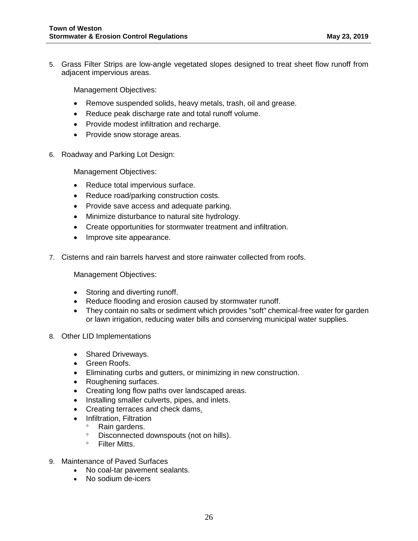5. Grass Filter Strips are low-angle vegetated slopes designed to treat sheet flow runoff from adjacent impervious areas.

Management Objectives:

- Remove suspended solids, heavy metals, trash, oil and grease.
- Reduce peak discharge rate and total runoff volume.
- Provide modest infiltration and recharge.
- Provide snow storage areas.
- 6. Roadway and Parking Lot Design:

Management Objectives:

- Reduce total impervious surface.
- Reduce road/parking construction costs.
- Provide save access and adequate parking.
- Minimize disturbance to natural site hydrology.
- Create opportunities for stormwater treatment and infiltration.
- Improve site appearance.
- 7. Cisterns and rain barrels harvest and store rainwater collected from roofs.

Management Objectives:

- Storing and diverting runoff.
- Reduce flooding and erosion caused by stormwater runoff.
- They contain no salts or sediment which provides "soft" chemical-free water for garden or lawn irrigation, reducing water bills and conserving municipal water supplies.
- 8. Other LID Implementations
	- Shared Driveways.
	- Green Roofs.
	- Eliminating curbs and gutters, or minimizing in new construction.
	- Roughening surfaces.
	- Creating long flow paths over landscaped areas.
	- Installing smaller culverts, pipes, and inlets.
	- Creating terraces and check dams.
	- Infiltration, Filtration<br>• Rain gardens
		- Rain gardens.
		- Disconnected downspouts (not on hills).
		- Filter Mitts.
- 9. Maintenance of Paved Surfaces
	- No coal-tar pavement sealants.
	- No sodium de-icers